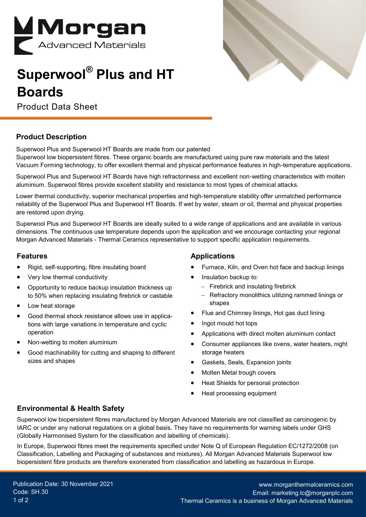

## **Superwool® Plus and HT Boards**

Product Data Sheet

### **Product Description**

Superwool Plus and Superwool HT Boards are made from our patented Superwool low biopersistent fibres. These organic boards are manufactured using pure raw materials and the latest Vacuum Forming technology, to offer excellent thermal and physical performance features in high-temperature applications.

Superwool Plus and Superwool HT Boards have high refractoriness and excellent non-wetting characteristics with molten aluminium. Superwool fibres provide excellent stability and resistance to most types of chemical attacks.

Lower thermal conductivity, superior mechanical properties and high-temperature stability offer unmatched performance reliability of the Superwool Plus and Superwool HT Boards. If wet by water, steam or oil, thermal and physical properties are restored upon drying.

Superwool Plus and Superwool HT Boards are ideally suited to a wide range of applications and are available in various dimensions. The continuous use temperature depends upon the application and we encourage contacting your regional Morgan Advanced Materials - Thermal Ceramics representative to support specific application requirements.

#### **Features**

- Rigid, self-supporting, fibre insulating board
- Very low thermal conductivity
- Opportunity to reduce backup insulation thickness up to 50% when replacing insulating firebrick or castable
- Low heat storage
- Good thermal shock resistance allows use in applications with large variations in temperature and cyclic operation
- Non-wetting to molten aluminium
- Good machinability for cutting and shaping to different sizes and shapes

#### **Applications**

- Furnace, Kiln, and Oven hot face and backup linings
- Insulation backup to:
	- − Firebrick and insulating firebrick
	- − Refractory monolithics utilizing rammed linings or shapes
- Flue and Chimney linings, Hot gas duct lining
- Ingot mould hot tops
- Applications with direct molten aluminium contact
- Consumer appliances like ovens, water heaters, night storage heaters
- Gaskets, Seals, Expansion joints
- Molten Metal trough covers
- Heat Shields for personal protection
- Heat processing equipment

## **Environmental & Health Safety**

Superwool low biopersistent fibres manufactured by Morgan Advanced Materials are not classified as carcinogenic by IARC or under any national regulations on a global basis. They have no requirements for warning labels under GHS (Globally Harmonised System for the classification and labelling of chemicals).

In Europe, Superwool fibres meet the requirements specified under Note Q of European Regulation EC/1272/2008 (on Classification, Labelling and Packaging of substances and mixtures). All Morgan Advanced Materials Superwool low biopersistent fibre products are therefore exonerated from classification and labelling as hazardous in Europe.